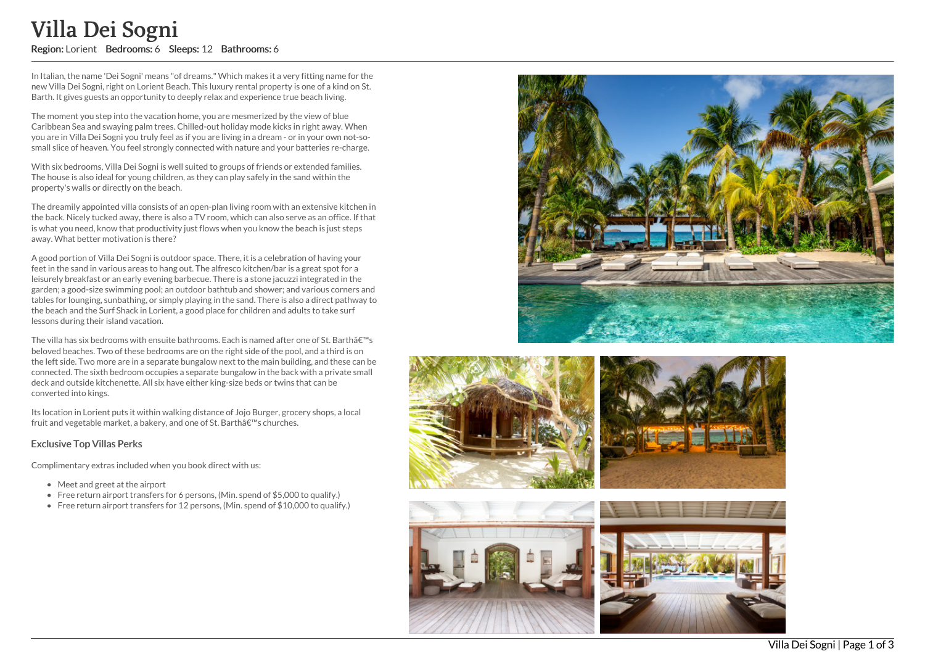## Villa Dei Sogni

## Region: Lorient Bedrooms: 6 Sleeps: 12 Bathrooms: 6

In Italian, the name 'Dei Sogni' means "of dreams." Which makes it a very fitting name for the new Villa Dei Sogni, right on Lorient Beach. This luxury rental property is one of a kind on St. Barth. It gives guests an opportunity to deeply relax and experience true beach living.

The moment you step into the vacation home, you are mesmerized by the view of blue Caribbean Sea and swaying palm trees. Chilled-out holiday mode kicks in right away. When you are in Villa Dei Sogni you truly feel as if you are living in a dream - or in your own not-sosmall slice of heaven. You feel strongly connected with nature and your batteries re-charge.

With six bedrooms, Villa Dei Sogni is well suited to groups of friends or extended families. The house is also ideal for young children, as they can play safely in the sand within the property's walls or directly on the beach.

The dreamily appointed villa consists of an open-plan living room with an extensive kitchen in the back. Nicely tucked away, there is also a TV room, which can also serve as an office. If that is what you need, know that productivity just flows when you know the beach is just steps away. What better motivation is there?

A good portion of Villa Dei Sogni is outdoor space. There, it is a celebration of having your feet in the sand in various areas to hang out. The alfresco kitchen/bar is a great spot for a leisurely breakfast or an early evening barbecue. There is a stone jacuzzi integrated in the garden; a good-size swimming pool; an outdoor bathtub and shower; and various corners and tables for lounging, sunbathing, or simply playing in the sand. There is also a direct pathway to the beach and the Surf Shack in Lorient, a good place for children and adults to take surf lessons during their island vacation.

The villa has six bedrooms with ensuite bathrooms. Each is named after one of St. Barth $\hat{a}\in\mathbb{M}$ s beloved beaches. Two of these bedrooms are on the right side of the pool, and a third is on the left side. Two more are in a separate bungalow next to the main building, and these can be connected. The sixth bedroom occupies a separate bungalow in the back with a private small deck and outside kitchenette. All six have either king-size beds or twins that can be converted into kings.

Its location in Lorient puts it within walking distance of Jojo Burger, grocery shops, a local fruit and vegetable market, a bakery, and one of St. Barthâ€<sup>™</sup>s churches.

## Exclusive Top Villas Perks

Complimentary extras included when you book direct with us:

- Meet and greet at the airport
- Free return airport transfers for 6 persons, (Min. spend of \$5,000 to qualify.)
- Free return airport transfers for 12 persons, (Min. spend of \$10,000 to qualify.)







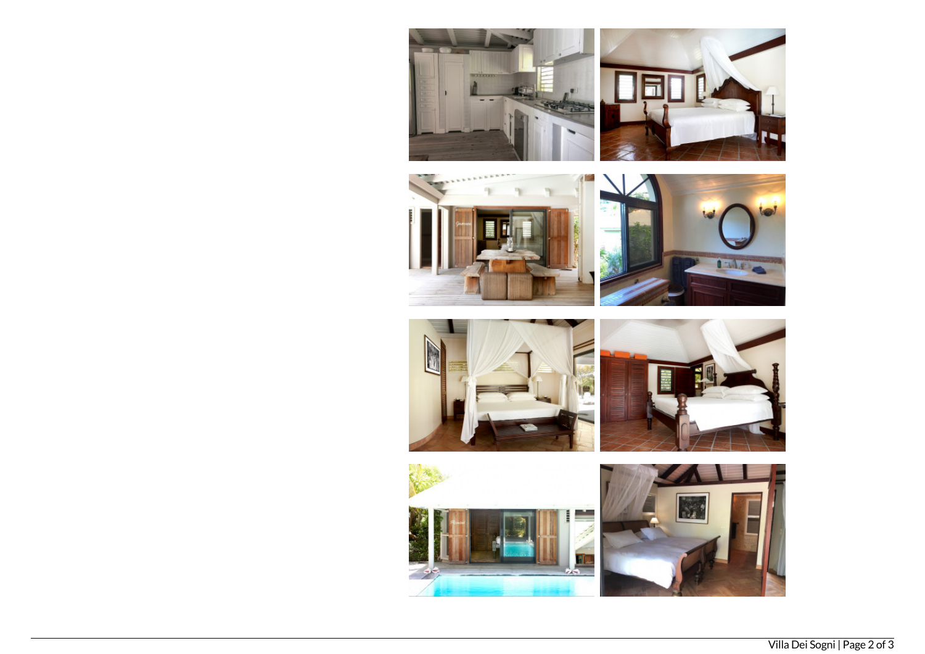





B